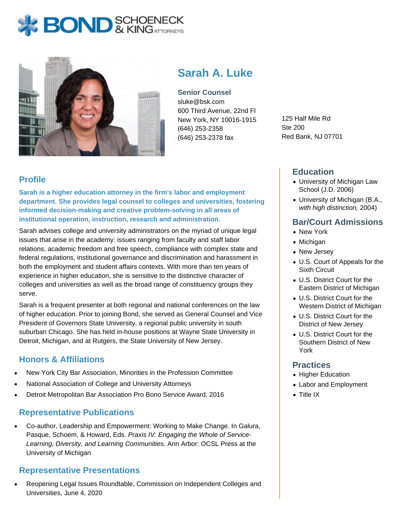# **BOND** & KINGATTORNECK



# **Sarah A. Luke**

**Senior Counsel** sluke@bsk.com 600 Third Avenue, 22nd Fl New York, NY 10016-1915 (646) 253-2358 (646) 253-2378 fax

125 Half Mile Rd Ste 200 Red Bank, NJ 07701

## **Profile**

**Sarah is a higher education attorney in the firm's labor and employment department. She provides legal counsel to colleges and universities, fostering informed decision-making and creative problem-solving in all areas of institutional operation, instruction, research and administration.**

Sarah advises college and university administrators on the myriad of unique legal issues that arise in the academy: issues ranging from faculty and staff labor relations, academic freedom and free speech, compliance with complex state and federal regulations, institutional governance and discrimination and harassment in both the employment and student affairs contexts. With more than ten years of experience in higher education, she is sensitive to the distinctive character of colleges and universities as well as the broad range of constituency groups they serve.

Sarah is a frequent presenter at both regional and national conferences on the law of higher education. Prior to joining Bond, she served as General Counsel and Vice President of Governors State University, a regional public university in south suburban Chicago. She has held in-house positions at Wayne State University in Detroit, Michigan, and at Rutgers, the State University of New Jersey.

### **Honors & Affiliations**

- New York City Bar Association, Minorities in the Profession Committee
- National Association of College and University Attorneys
- Detroit Metropolitan Bar Association Pro Bono Service Award, 2016

#### **Representative Publications**

Co-author, Leadership and Empowerment: Working to Make Change. In Galura, Pasque, Schoem, & Howard, Eds. Praxis IV: Engaging the Whole of Service-Learning, Diversity, and Learning Communities. Ann Arbor: OCSL Press at the University of Michigan

#### **Representative Presentations**

Reopening Legal Issues Roundtable, Commission on Independent Colleges and Universities, June 4, 2020

#### **Education**

- University of Michigan Law School (J.D. 2006)
- University of Michigan (B.A., with high distinction, 2004)

#### **Bar/Court Admissions**

- New York
- Michigan
- New Jersey
- U.S. Court of Appeals for the Sixth Circuit
- U.S. District Court for the Eastern District of Michigan
- U.S. District Court for the Western District of Michigan
- U.S. District Court for the District of New Jersey
- U.S. District Court for the Southern District of New York

#### **Practices**

- Higher Education
- Labor and Employment
- Title IX